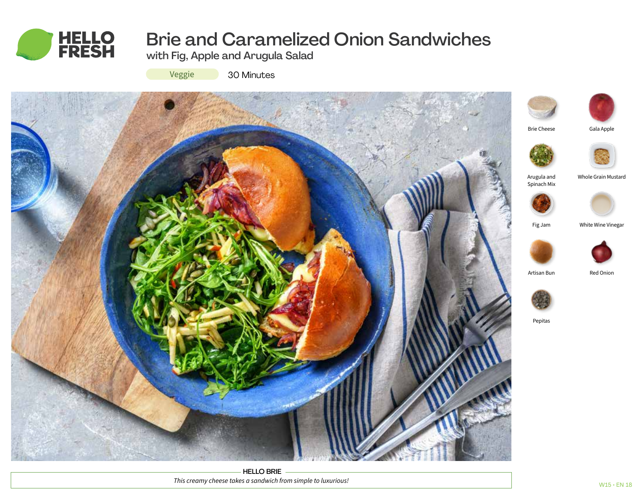

# Brie and Caramelized Onion Sandwiches

with Fig, Apple and Arugula Salad



30 Minutes



HELLO BRIE *This creamy cheese takes a sandwich from simple to luxurious!*